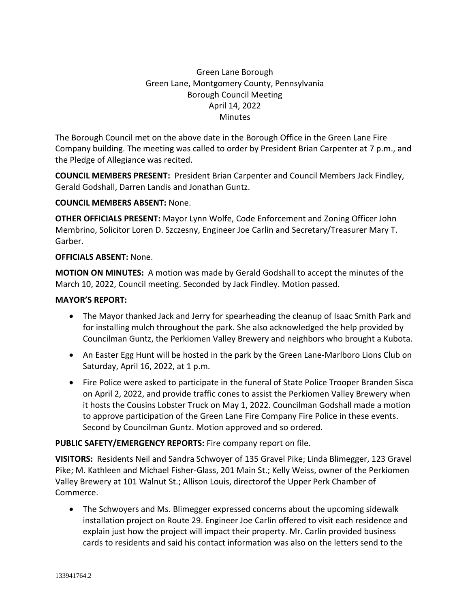# Green Lane Borough Green Lane, Montgomery County, Pennsylvania Borough Council Meeting April 14, 2022 **Minutes**

The Borough Council met on the above date in the Borough Office in the Green Lane Fire Company building. The meeting was called to order by President Brian Carpenter at 7 p.m., and the Pledge of Allegiance was recited.

**COUNCIL MEMBERS PRESENT:** President Brian Carpenter and Council Members Jack Findley, Gerald Godshall, Darren Landis and Jonathan Guntz.

## **COUNCIL MEMBERS ABSENT:** None.

**OTHER OFFICIALS PRESENT:** Mayor Lynn Wolfe, Code Enforcement and Zoning Officer John Membrino, Solicitor Loren D. Szczesny, Engineer Joe Carlin and Secretary/Treasurer Mary T. Garber.

## **OFFICIALS ABSENT:** None.

**MOTION ON MINUTES:** A motion was made by Gerald Godshall to accept the minutes of the March 10, 2022, Council meeting. Seconded by Jack Findley. Motion passed.

## **MAYOR'S REPORT:**

- The Mayor thanked Jack and Jerry for spearheading the cleanup of Isaac Smith Park and for installing mulch throughout the park. She also acknowledged the help provided by Councilman Guntz, the Perkiomen Valley Brewery and neighbors who brought a Kubota.
- An Easter Egg Hunt will be hosted in the park by the Green Lane-Marlboro Lions Club on Saturday, April 16, 2022, at 1 p.m.
- Fire Police were asked to participate in the funeral of State Police Trooper Branden Sisca on April 2, 2022, and provide traffic cones to assist the Perkiomen Valley Brewery when it hosts the Cousins Lobster Truck on May 1, 2022. Councilman Godshall made a motion to approve participation of the Green Lane Fire Company Fire Police in these events. Second by Councilman Guntz. Motion approved and so ordered.

## **PUBLIC SAFETY/EMERGENCY REPORTS:** Fire company report on file.

**VISITORS:** Residents Neil and Sandra Schwoyer of 135 Gravel Pike; Linda Blimegger, 123 Gravel Pike; M. Kathleen and Michael Fisher-Glass, 201 Main St.; Kelly Weiss, owner of the Perkiomen Valley Brewery at 101 Walnut St.; Allison Louis, directorof the Upper Perk Chamber of Commerce.

• The Schwoyers and Ms. Blimegger expressed concerns about the upcoming sidewalk installation project on Route 29. Engineer Joe Carlin offered to visit each residence and explain just how the project will impact their property. Mr. Carlin provided business cards to residents and said his contact information was also on the letters send to the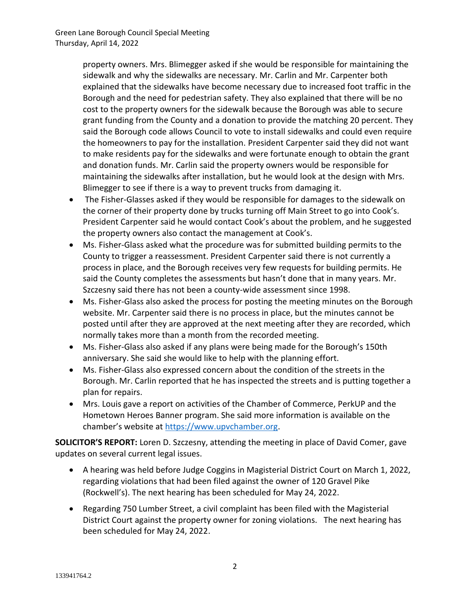property owners. Mrs. Blimegger asked if she would be responsible for maintaining the sidewalk and why the sidewalks are necessary. Mr. Carlin and Mr. Carpenter both explained that the sidewalks have become necessary due to increased foot traffic in the Borough and the need for pedestrian safety. They also explained that there will be no cost to the property owners for the sidewalk because the Borough was able to secure grant funding from the County and a donation to provide the matching 20 percent. They said the Borough code allows Council to vote to install sidewalks and could even require the homeowners to pay for the installation. President Carpenter said they did not want to make residents pay for the sidewalks and were fortunate enough to obtain the grant and donation funds. Mr. Carlin said the property owners would be responsible for maintaining the sidewalks after installation, but he would look at the design with Mrs. Blimegger to see if there is a way to prevent trucks from damaging it.

- The Fisher-Glasses asked if they would be responsible for damages to the sidewalk on the corner of their property done by trucks turning off Main Street to go into Cook's. President Carpenter said he would contact Cook's about the problem, and he suggested the property owners also contact the management at Cook's.
- Ms. Fisher-Glass asked what the procedure was for submitted building permits to the County to trigger a reassessment. President Carpenter said there is not currently a process in place, and the Borough receives very few requests for building permits. He said the County completes the assessments but hasn't done that in many years. Mr. Szczesny said there has not been a county-wide assessment since 1998.
- Ms. Fisher-Glass also asked the process for posting the meeting minutes on the Borough website. Mr. Carpenter said there is no process in place, but the minutes cannot be posted until after they are approved at the next meeting after they are recorded, which normally takes more than a month from the recorded meeting.
- Ms. Fisher-Glass also asked if any plans were being made for the Borough's 150th anniversary. She said she would like to help with the planning effort.
- Ms. Fisher-Glass also expressed concern about the condition of the streets in the Borough. Mr. Carlin reported that he has inspected the streets and is putting together a plan for repairs.
- Mrs. Louis gave a report on activities of the Chamber of Commerce, PerkUP and the Hometown Heroes Banner program. She said more information is available on the chamber's website at [https://www.upvchamber.org.](https://www.upvchamber.org/)

**SOLICITOR'S REPORT:** Loren D. Szczesny, attending the meeting in place of David Comer, gave updates on several current legal issues.

- A hearing was held before Judge Coggins in Magisterial District Court on March 1, 2022, regarding violations that had been filed against the owner of 120 Gravel Pike (Rockwell's). The next hearing has been scheduled for May 24, 2022.
- Regarding 750 Lumber Street, a civil complaint has been filed with the Magisterial District Court against the property owner for zoning violations. The next hearing has been scheduled for May 24, 2022.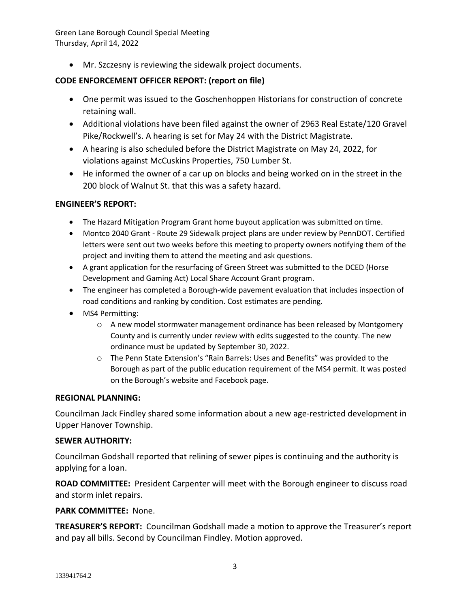Green Lane Borough Council Special Meeting Thursday, April 14, 2022

• Mr. Szczesny is reviewing the sidewalk project documents.

## **CODE ENFORCEMENT OFFICER REPORT: (report on file)**

- One permit was issued to the Goschenhoppen Historians for construction of concrete retaining wall.
- Additional violations have been filed against the owner of 2963 Real Estate/120 Gravel Pike/Rockwell's. A hearing is set for May 24 with the District Magistrate.
- A hearing is also scheduled before the District Magistrate on May 24, 2022, for violations against McCuskins Properties, 750 Lumber St.
- He informed the owner of a car up on blocks and being worked on in the street in the 200 block of Walnut St. that this was a safety hazard.

## **ENGINEER'S REPORT:**

- The Hazard Mitigation Program Grant home buyout application was submitted on time.
- Montco 2040 Grant Route 29 Sidewalk project plans are under review by PennDOT. Certified letters were sent out two weeks before this meeting to property owners notifying them of the project and inviting them to attend the meeting and ask questions.
- A grant application for the resurfacing of Green Street was submitted to the DCED (Horse Development and Gaming Act) Local Share Account Grant program.
- The engineer has completed a Borough-wide pavement evaluation that includes inspection of road conditions and ranking by condition. Cost estimates are pending.
- MS4 Permitting:
	- o A new model stormwater management ordinance has been released by Montgomery County and is currently under review with edits suggested to the county. The new ordinance must be updated by September 30, 2022.
	- o The Penn State Extension's "Rain Barrels: Uses and Benefits" was provided to the Borough as part of the public education requirement of the MS4 permit. It was posted on the Borough's website and Facebook page.

## **REGIONAL PLANNING:**

Councilman Jack Findley shared some information about a new age-restricted development in Upper Hanover Township.

## **SEWER AUTHORITY:**

Councilman Godshall reported that relining of sewer pipes is continuing and the authority is applying for a loan.

**ROAD COMMITTEE:** President Carpenter will meet with the Borough engineer to discuss road and storm inlet repairs.

## **PARK COMMITTEE:** None.

**TREASURER'S REPORT:** Councilman Godshall made a motion to approve the Treasurer's report and pay all bills. Second by Councilman Findley. Motion approved.